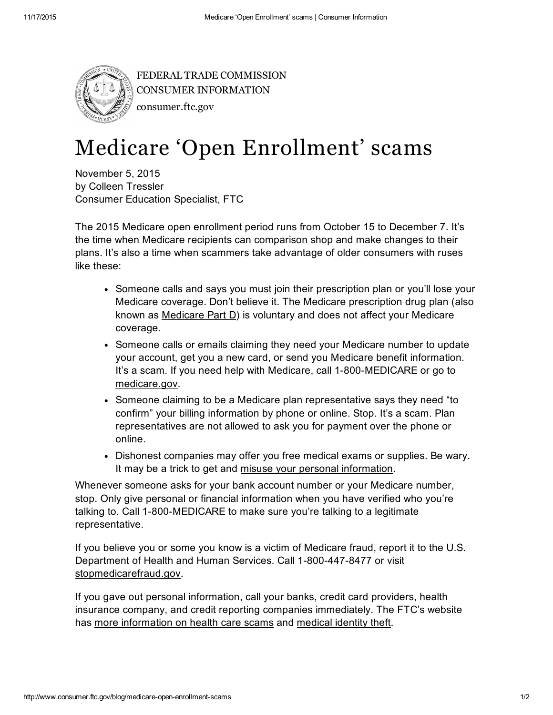

FEDERAL TRADE COMMISSION CONSUMER [INFORMATION](http://www.consumer.ftc.gov/) consumer.ftc.gov

## Medicare 'Open Enrollment' scams

November 5, 2015 by Colleen Tressler Consumer Education Specialist, FTC

The 2015 Medicare open enrollment period runs from October 15 to December 7. It's the time when Medicare recipients can comparison shop and make changes to their plans. It's also a time when scammers take advantage of older consumers with ruses like these:

- Someone calls and says you must join their prescription plan or you'll lose your Medicare coverage. Don't believe it. The Medicare prescription drug plan (also known as [Medicare](http://www.consumer.ftc.gov/articles/0329-medicare-part-d-plans-health-information-older-people) Part D) is voluntary and does not affect your Medicare coverage.
- Someone calls or emails claiming they need your Medicare number to update your account, get you a new card, or send you Medicare benefit information. It's a scam. If you need help with Medicare, call 1-800-MEDICARE or go to [medicare.gov.](http://www.medicare.gov/)
- Someone claiming to be a Medicare plan representative says they need "to confirm" your billing information by phone or online. Stop. It's a scam. Plan representatives are not allowed to ask you for payment over the phone or online.
- Dishonest companies may offer you free medical exams or supplies. Be wary. It may be a trick to get and misuse your personal [information](http://www.consumer.ftc.gov/features/feature-0014-identity-theft).

Whenever someone asks for your bank account number or your Medicare number, stop. Only give personal or financial information when you have verified who you're talking to. Call 1-800-MEDICARE to make sure you're talking to a legitimate representative.

If you believe you or some you know is a victim of Medicare fraud, report it to the U.S. Department of Health and Human Services. Call 1-800-447-8477 or visit [stopmedicarefraud.gov](https://www.stopmedicarefraud.gov/).

If you gave out personal information, call your banks, credit card providers, health insurance company, and credit reporting companies immediately. The FTC's website has more [information](http://www.consumer.ftc.gov/articles/0394-suspect-health-care-scam) on health care scams and [medical](http://www.consumer.ftc.gov/articles/0171-medical-identity-theft) identity theft.